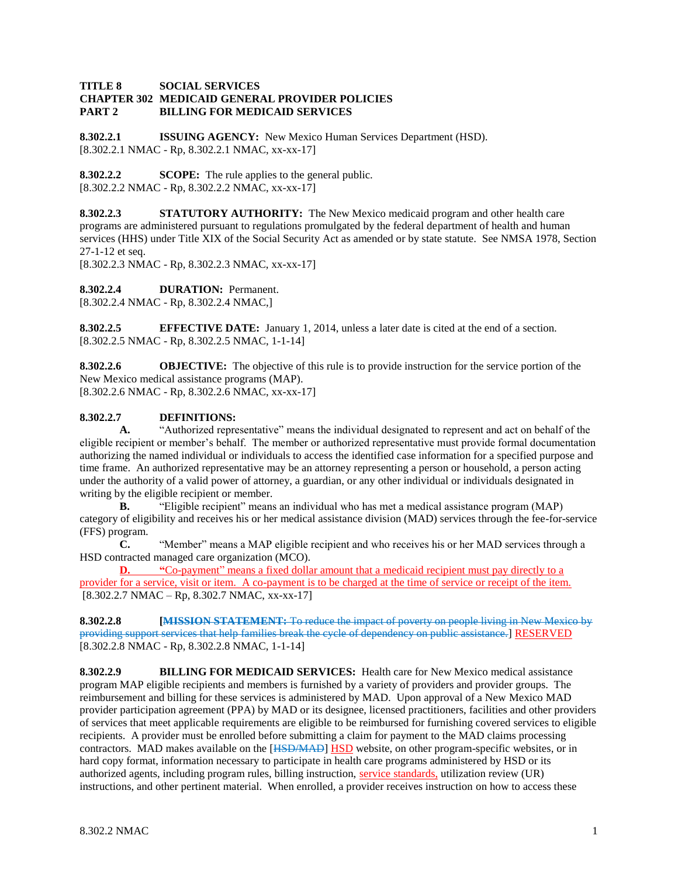#### **TITLE 8 SOCIAL SERVICES CHAPTER 302 MEDICAID GENERAL PROVIDER POLICIES PART 2 BILLING FOR MEDICAID SERVICES**

**8.302.2.1 ISSUING AGENCY:** New Mexico Human Services Department (HSD). [8.302.2.1 NMAC - Rp, 8.302.2.1 NMAC, xx-xx-17]

**8.302.2.2 SCOPE:** The rule applies to the general public. [8.302.2.2 NMAC - Rp, 8.302.2.2 NMAC, xx-xx-17]

**8.302.2.3 STATUTORY AUTHORITY:** The New Mexico medicaid program and other health care programs are administered pursuant to regulations promulgated by the federal department of health and human services (HHS) under Title XIX of the Social Security Act as amended or by state statute. See NMSA 1978, Section 27-1-12 et seq.

[8.302.2.3 NMAC - Rp, 8.302.2.3 NMAC, xx-xx-17]

**8.302.2.4 DURATION:** Permanent.

[8.302.2.4 NMAC - Rp, 8.302.2.4 NMAC,]

**8.302.2.5 EFFECTIVE DATE:** January 1, 2014, unless a later date is cited at the end of a section. [8.302.2.5 NMAC - Rp, 8.302.2.5 NMAC, 1-1-14]

**8.302.2.6 OBJECTIVE:** The objective of this rule is to provide instruction for the service portion of the New Mexico medical assistance programs (MAP). [8.302.2.6 NMAC - Rp, 8.302.2.6 NMAC, xx-xx-17]

# **8.302.2.7 DEFINITIONS:**

**A.** "Authorized representative" means the individual designated to represent and act on behalf of the eligible recipient or member's behalf. The member or authorized representative must provide formal documentation authorizing the named individual or individuals to access the identified case information for a specified purpose and time frame. An authorized representative may be an attorney representing a person or household, a person acting under the authority of a valid power of attorney, a guardian, or any other individual or individuals designated in writing by the eligible recipient or member.

**B.** "Eligible recipient" means an individual who has met a medical assistance program (MAP) category of eligibility and receives his or her medical assistance division (MAD) services through the fee-for-service (FFS) program.

**C.** "Member" means a MAP eligible recipient and who receives his or her MAD services through a HSD contracted managed care organization (MCO).

**D. "**Co-payment" means a fixed dollar amount that a medicaid recipient must pay directly to a provider for a service, visit or item. A co-payment is to be charged at the time of service or receipt of the item.  $[8.302.2.7 \text{ NMAC} - \text{Rp}, 8.302.7 \text{ NMAC}, xx-xx-17]$ 

**8.302.2.8 [MISSION STATEMENT:** To reduce the impact of poverty on people living in New Mexico by providing support services that help families break the cycle of dependency on public assistance.] RESERVED [8.302.2.8 NMAC - Rp, 8.302.2.8 NMAC, 1-1-14]

**8.302.2.9 BILLING FOR MEDICAID SERVICES:** Health care for New Mexico medical assistance program MAP eligible recipients and members is furnished by a variety of providers and provider groups. The reimbursement and billing for these services is administered by MAD. Upon approval of a New Mexico MAD provider participation agreement (PPA) by MAD or its designee, licensed practitioners, facilities and other providers of services that meet applicable requirements are eligible to be reimbursed for furnishing covered services to eligible recipients. A provider must be enrolled before submitting a claim for payment to the MAD claims processing contractors. MAD makes available on the [HSD/MAD] HSD website, on other program-specific websites, or in hard copy format, information necessary to participate in health care programs administered by HSD or its authorized agents, including program rules, billing instruction, service standards, utilization review (UR) instructions, and other pertinent material. When enrolled, a provider receives instruction on how to access these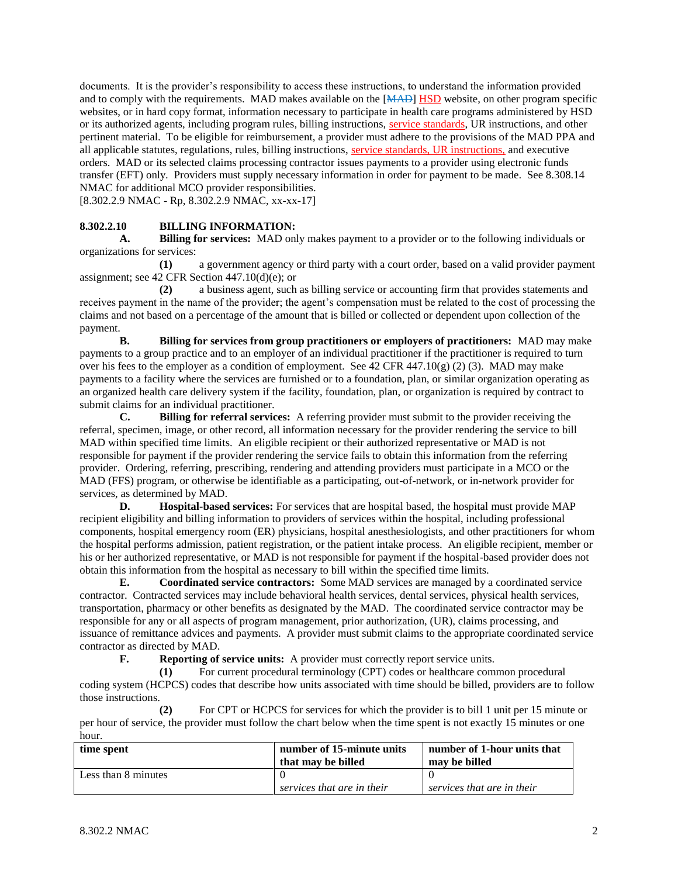documents. It is the provider's responsibility to access these instructions, to understand the information provided and to comply with the requirements. MAD makes available on the [MAD] HSD website, on other program specific websites, or in hard copy format, information necessary to participate in health care programs administered by HSD or its authorized agents, including program rules, billing instructions, service standards, UR instructions, and other pertinent material. To be eligible for reimbursement, a provider must adhere to the provisions of the MAD PPA and all applicable statutes, regulations, rules, billing instructions, service standards, UR instructions, and executive orders. MAD or its selected claims processing contractor issues payments to a provider using electronic funds transfer (EFT) only. Providers must supply necessary information in order for payment to be made. See 8.308.14 NMAC for additional MCO provider responsibilities.

[8.302.2.9 NMAC - Rp, 8.302.2.9 NMAC, xx-xx-17]

#### **8.302.2.10 BILLING INFORMATION:**

**A. Billing for services:** MAD only makes payment to a provider or to the following individuals or organizations for services:

**(1)** a government agency or third party with a court order, based on a valid provider payment assignment; see 42 CFR Section 447.10(d)(e); or

**(2)** a business agent, such as billing service or accounting firm that provides statements and receives payment in the name of the provider; the agent's compensation must be related to the cost of processing the claims and not based on a percentage of the amount that is billed or collected or dependent upon collection of the payment.

**B. Billing for services from group practitioners or employers of practitioners:** MAD may make payments to a group practice and to an employer of an individual practitioner if the practitioner is required to turn over his fees to the employer as a condition of employment. See 42 CFR 447.10(g) (2) (3). MAD may make payments to a facility where the services are furnished or to a foundation, plan, or similar organization operating as an organized health care delivery system if the facility, foundation, plan, or organization is required by contract to submit claims for an individual practitioner.

**C. Billing for referral services:** A referring provider must submit to the provider receiving the referral, specimen, image, or other record, all information necessary for the provider rendering the service to bill MAD within specified time limits. An eligible recipient or their authorized representative or MAD is not responsible for payment if the provider rendering the service fails to obtain this information from the referring provider. Ordering, referring, prescribing, rendering and attending providers must participate in a MCO or the MAD (FFS) program, or otherwise be identifiable as a participating, out-of-network, or in-network provider for services, as determined by MAD.

**D. Hospital-based services:** For services that are hospital based, the hospital must provide MAP recipient eligibility and billing information to providers of services within the hospital, including professional components, hospital emergency room (ER) physicians, hospital anesthesiologists, and other practitioners for whom the hospital performs admission, patient registration, or the patient intake process. An eligible recipient, member or his or her authorized representative, or MAD is not responsible for payment if the hospital-based provider does not obtain this information from the hospital as necessary to bill within the specified time limits.

**E. Coordinated service contractors:** Some MAD services are managed by a coordinated service contractor. Contracted services may include behavioral health services, dental services, physical health services, transportation, pharmacy or other benefits as designated by the MAD. The coordinated service contractor may be responsible for any or all aspects of program management, prior authorization, (UR), claims processing, and issuance of remittance advices and payments. A provider must submit claims to the appropriate coordinated service contractor as directed by MAD.

**F. Reporting of service units:** A provider must correctly report service units.

**(1)** For current procedural terminology (CPT) codes or healthcare common procedural coding system (HCPCS) codes that describe how units associated with time should be billed, providers are to follow those instructions.

**(2)** For CPT or HCPCS for services for which the provider is to bill 1 unit per 15 minute or per hour of service, the provider must follow the chart below when the time spent is not exactly 15 minutes or one hour.

| time spent          | number of 15-minute units<br>that may be billed | number of 1-hour units that<br>may be billed |
|---------------------|-------------------------------------------------|----------------------------------------------|
| Less than 8 minutes |                                                 |                                              |
|                     | services that are in their                      | services that are in their                   |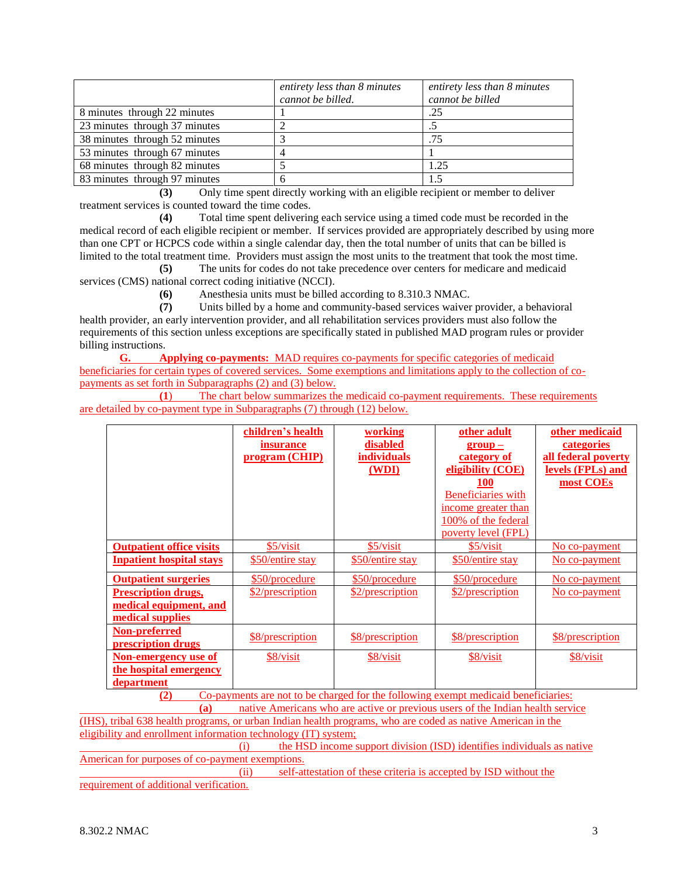|                               | entirety less than 8 minutes<br>cannot be billed. | entirety less than 8 minutes<br>cannot be billed |
|-------------------------------|---------------------------------------------------|--------------------------------------------------|
| 8 minutes through 22 minutes  |                                                   | .25                                              |
| 23 minutes through 37 minutes |                                                   |                                                  |
| 38 minutes through 52 minutes |                                                   | .75                                              |
| 53 minutes through 67 minutes |                                                   |                                                  |
| 68 minutes through 82 minutes |                                                   | 1.25                                             |
| 83 minutes through 97 minutes |                                                   | 1.5                                              |

**(3)** Only time spent directly working with an eligible recipient or member to deliver treatment services is counted toward the time codes.

**(4)** Total time spent delivering each service using a timed code must be recorded in the medical record of each eligible recipient or member. If services provided are appropriately described by using more than one CPT or HCPCS code within a single calendar day, then the total number of units that can be billed is limited to the total treatment time. Providers must assign the most units to the treatment that took the most time.

**(5)** The units for codes do not take precedence over centers for medicare and medicaid services (CMS) national correct coding initiative (NCCI).

**(6)** Anesthesia units must be billed according to 8.310.3 NMAC.

**(7)** Units billed by a home and community-based services waiver provider, a behavioral health provider, an early intervention provider, and all rehabilitation services providers must also follow the requirements of this section unless exceptions are specifically stated in published MAD program rules or provider billing instructions.

**G. Applying co-payments:** MAD requires co-payments for specific categories of medicaid beneficiaries for certain types of covered services. Some exemptions and limitations apply to the collection of copayments as set forth in Subparagraphs (2) and (3) below.

**(1**) The chart below summarizes the medicaid co-payment requirements. These requirements are detailed by co-payment type in Subparagraphs (7) through (12) below.

|                                 | children's health                                                                                      | working            | other adult               | other medicaid           |
|---------------------------------|--------------------------------------------------------------------------------------------------------|--------------------|---------------------------|--------------------------|
|                                 | <i>insurance</i>                                                                                       | disabled           | $group -$                 | categories               |
|                                 | program (CHIP)                                                                                         | <i>individuals</i> | category of               | all federal poverty      |
|                                 |                                                                                                        | (WDI)              | eligibility (COE)         | <u>levels (FPLs) and</u> |
|                                 |                                                                                                        |                    | 100                       | most COEs                |
|                                 |                                                                                                        |                    | <b>Beneficiaries</b> with |                          |
|                                 |                                                                                                        |                    | income greater than       |                          |
|                                 |                                                                                                        |                    | 100% of the federal       |                          |
|                                 |                                                                                                        |                    | poverty level (FPL)       |                          |
| <b>Outpatient office visits</b> | \$5/visit                                                                                              | \$5/visit          | \$5/visit                 | No co-payment            |
| <b>Inpatient hospital stays</b> | \$50/entire stay                                                                                       | \$50/entire stay   | \$50/entire stay          | No co-payment            |
| <b>Outpatient surgeries</b>     | \$50/procedure                                                                                         | \$50/procedure     | \$50/procedure            | No co-payment            |
| <b>Prescription drugs,</b>      | \$2/prescription                                                                                       | \$2/prescription   | \$2/prescription          | No co-payment            |
| medical equipment, and          |                                                                                                        |                    |                           |                          |
| medical supplies                |                                                                                                        |                    |                           |                          |
| Non-preferred                   |                                                                                                        |                    |                           |                          |
| prescription drugs              | \$8/prescription                                                                                       | \$8/prescription   | \$8/prescription          | \$8/prescription         |
| Non-emergency use of            | \$8/visit                                                                                              | \$8/visit          | \$8/visit                 | \$8/visit                |
| the hospital emergency          |                                                                                                        |                    |                           |                          |
| department                      | $\alpha$ and the contract of the state of the state of $\alpha$ and $\alpha$ and $\alpha$ and $\alpha$ |                    |                           |                          |

**(2)** Co-payments are not to be charged for the following exempt medicaid beneficiaries: **(a)** native Americans who are active or previous users of the Indian health service

(IHS), tribal 638 health programs, or urban Indian health programs, who are coded as native American in the eligibility and enrollment information technology (IT) system;

(i) the HSD income support division (ISD) identifies individuals as native American for purposes of co-payment exemptions.

(ii) self-attestation of these criteria is accepted by ISD without the requirement of additional verification.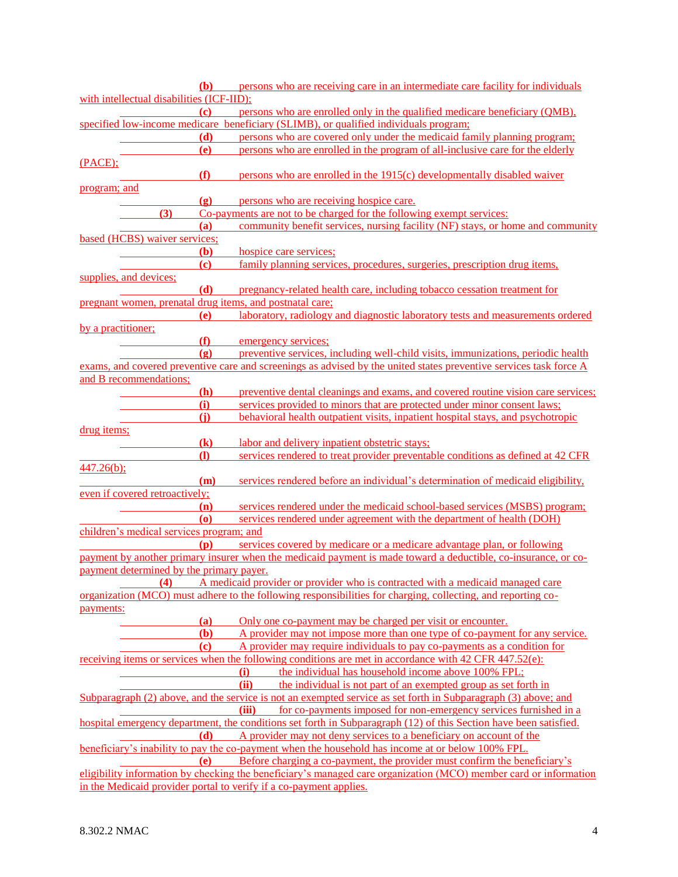| <b>(b)</b>                                               |                             | persons who are receiving care in an intermediate care facility for individuals                                    |
|----------------------------------------------------------|-----------------------------|--------------------------------------------------------------------------------------------------------------------|
| with intellectual disabilities (ICF-IID);                |                             |                                                                                                                    |
| (c)                                                      |                             | persons who are enrolled only in the qualified medicare beneficiary (QMB),                                         |
|                                                          |                             | specified low-income medicare beneficiary (SLIMB), or qualified individuals program;                               |
|                                                          | (d)                         | persons who are covered only under the medicaid family planning program;                                           |
| (e)                                                      |                             | persons who are enrolled in the program of all-inclusive care for the elderly                                      |
| (PACE);                                                  |                             |                                                                                                                    |
| (f)                                                      |                             | persons who are enrolled in the 1915(c) developmentally disabled waiver                                            |
| program; and                                             |                             |                                                                                                                    |
|                                                          | $\left( \mathbf{g} \right)$ | persons who are receiving hospice care.                                                                            |
| (3)                                                      |                             | Co-payments are not to be charged for the following exempt services:                                               |
| (a)                                                      |                             | community benefit services, nursing facility (NF) stays, or home and community                                     |
| based (HCBS) waiver services;                            |                             |                                                                                                                    |
|                                                          | <b>(b)</b>                  | hospice care services;                                                                                             |
| $\left( \mathbf{c} \right)$                              |                             | family planning services, procedures, surgeries, prescription drug items,                                          |
| supplies, and devices;                                   |                             |                                                                                                                    |
|                                                          | (d)                         | pregnancy-related health care, including tobacco cessation treatment for                                           |
| pregnant women, prenatal drug items, and postnatal care; |                             |                                                                                                                    |
| (e)                                                      |                             | laboratory, radiology and diagnostic laboratory tests and measurements ordered                                     |
| by a practitioner;                                       |                             |                                                                                                                    |
| (f)                                                      |                             | emergency services;                                                                                                |
| (g)                                                      |                             | preventive services, including well-child visits, immunizations, periodic health                                   |
|                                                          |                             | exams, and covered preventive care and screenings as advised by the united states preventive services task force A |
| and B recommendations;                                   |                             |                                                                                                                    |
| (h)                                                      |                             | preventive dental cleanings and exams, and covered routine vision care services;                                   |
| (i)                                                      |                             | services provided to minors that are protected under minor consent laws;                                           |
| (i)                                                      |                             | behavioral health outpatient visits, inpatient hospital stays, and psychotropic                                    |
| drug items;                                              |                             |                                                                                                                    |
| $\left( \mathbf{k}\right)$                               |                             | labor and delivery inpatient obstetric stays;                                                                      |
| $\mathbf{I}$                                             |                             | services rendered to treat provider preventable conditions as defined at 42 CFR                                    |
| $447.26(b)$ ;                                            |                             |                                                                                                                    |
|                                                          | (m)                         | services rendered before an individual's determination of medicaid eligibility,                                    |
| even if covered retroactively;                           |                             |                                                                                                                    |
| (n)                                                      |                             | services rendered under the medicaid school-based services (MSBS) program;                                         |
| $\boldsymbol{\omega}$                                    |                             | services rendered under agreement with the department of health (DOH)                                              |
| children's medical services program; and                 |                             |                                                                                                                    |
|                                                          | (p)                         | services covered by medicare or a medicare advantage plan, or following                                            |
|                                                          |                             | payment by another primary insurer when the medicaid payment is made toward a deductible, co-insurance, or co-     |
| payment determined by the primary payer.                 |                             |                                                                                                                    |
| (4)                                                      |                             | A medicaid provider or provider who is contracted with a medicaid managed care                                     |
|                                                          |                             | organization (MCO) must adhere to the following responsibilities for charging, collecting, and reporting co-       |
| payments:                                                |                             |                                                                                                                    |
|                                                          | (a)                         | Only one co-payment may be charged per visit or encounter.                                                         |
|                                                          | (b)                         | A provider may not impose more than one type of co-payment for any service.                                        |
| $\left( \mathbf{c} \right)$                              |                             | A provider may require individuals to pay co-payments as a condition for                                           |
|                                                          |                             | receiving items or services when the following conditions are met in accordance with 42 CFR 447.52(e):             |
|                                                          |                             | (i)<br>the individual has household income above 100% FPL;                                                         |
|                                                          |                             | (ii)<br>the individual is not part of an exempted group as set forth in                                            |
|                                                          |                             | Subparagraph (2) above, and the service is not an exempted service as set forth in Subparagraph (3) above; and     |
|                                                          |                             | for co-payments imposed for non-emergency services furnished in a<br>(iii)                                         |
|                                                          |                             | hospital emergency department, the conditions set forth in Subparagraph (12) of this Section have been satisfied.  |
|                                                          | <b>(d)</b>                  | A provider may not deny services to a beneficiary on account of the                                                |
|                                                          |                             | beneficiary's inability to pay the co-payment when the household has income at or below 100% FPL.                  |
|                                                          | (e)                         | Before charging a co-payment, the provider must confirm the beneficiary's                                          |
|                                                          |                             | eligibility information by checking the beneficiary's managed care organization (MCO) member card or information   |
|                                                          |                             | in the Medicaid provider portal to verify if a co-payment applies.                                                 |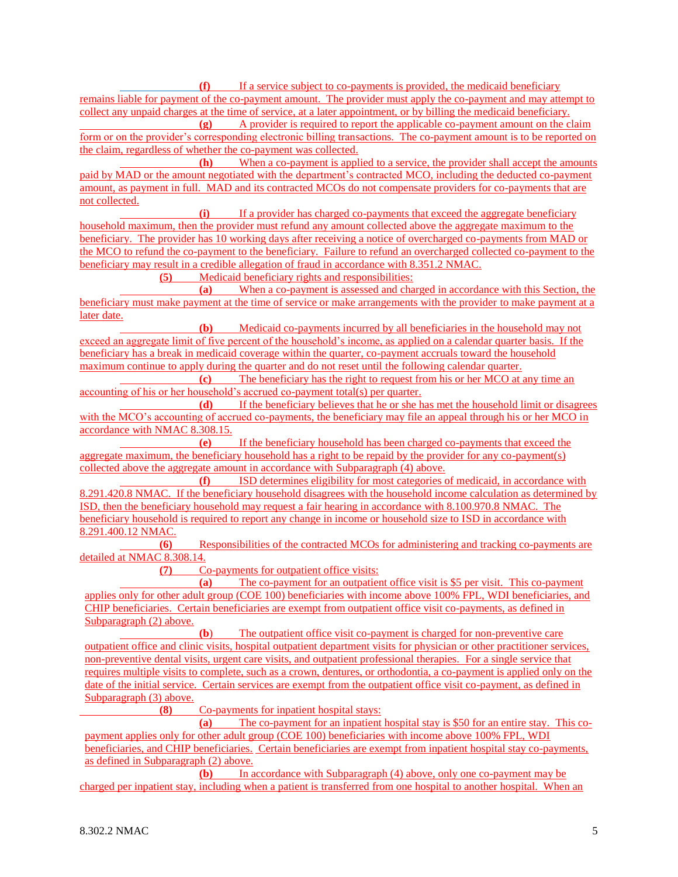**(f)** If a service subject to co-payments is provided, the medicaid beneficiary remains liable for payment of the co-payment amount. The provider must apply the co-payment and may attempt to collect any unpaid charges at the time of service, at a later appointment, or by billing the medicaid beneficiary.

**(g)** A provider is required to report the applicable co-payment amount on the claim form or on the provider's corresponding electronic billing transactions. The co-payment amount is to be reported on the claim, regardless of whether the co-payment was collected.

**(h)** When a co-payment is applied to a service, the provider shall accept the amounts paid by MAD or the amount negotiated with the department's contracted MCO, including the deducted co-payment amount, as payment in full. MAD and its contracted MCOs do not compensate providers for co-payments that are not collected.

**(i)** If a provider has charged co-payments that exceed the aggregate beneficiary household maximum, then the provider must refund any amount collected above the aggregate maximum to the beneficiary. The provider has 10 working days after receiving a notice of overcharged co-payments from MAD or the MCO to refund the co-payment to the beneficiary. Failure to refund an overcharged collected co-payment to the beneficiary may result in a credible allegation of fraud in accordance with 8.351.2 NMAC.

**(5)** Medicaid beneficiary rights and responsibilities:

**(a)** When a co-payment is assessed and charged in accordance with this Section, the beneficiary must make payment at the time of service or make arrangements with the provider to make payment at a later date.

**(b)** Medicaid co-payments incurred by all beneficiaries in the household may not exceed an aggregate limit of five percent of the household's income, as applied on a calendar quarter basis. If the beneficiary has a break in medicaid coverage within the quarter, co-payment accruals toward the household maximum continue to apply during the quarter and do not reset until the following calendar quarter.

**(c)** The beneficiary has the right to request from his or her MCO at any time an accounting of his or her household's accrued co-payment total(s) per quarter.

**(d)** If the beneficiary believes that he or she has met the household limit or disagrees with the MCO's accounting of accrued co-payments, the beneficiary may file an appeal through his or her MCO in accordance with NMAC 8.308.15.

**(e)** If the beneficiary household has been charged co-payments that exceed the aggregate maximum, the beneficiary household has a right to be repaid by the provider for any co-payment(s) collected above the aggregate amount in accordance with Subparagraph (4) above.

**(f)** ISD determines eligibility for most categories of medicaid, in accordance with 8.291.420.8 NMAC. If the beneficiary household disagrees with the household income calculation as determined by ISD, then the beneficiary household may request a fair hearing in accordance with 8.100.970.8 NMAC. The beneficiary household is required to report any change in income or household size to ISD in accordance with 8.291.400.12 NMAC.

**(6)** Responsibilities of the contracted MCOs for administering and tracking co-payments are detailed at NMAC 8.308.14.

**(7)** Co-payments for outpatient office visits:

**(a)** The co-payment for an outpatient office visit is \$5 per visit. This co-payment applies only for other adult group (COE 100) beneficiaries with income above 100% FPL, WDI beneficiaries, and CHIP beneficiaries. Certain beneficiaries are exempt from outpatient office visit co-payments, as defined in Subparagraph (2) above.

**(b**) The outpatient office visit co-payment is charged for non-preventive care outpatient office and clinic visits, hospital outpatient department visits for physician or other practitioner services, non-preventive dental visits, urgent care visits, and outpatient professional therapies. For a single service that requires multiple visits to complete, such as a crown, dentures, or orthodontia, a co-payment is applied only on the date of the initial service. Certain services are exempt from the outpatient office visit co-payment, as defined in Subparagraph (3) above.

**(8)** Co-payments for inpatient hospital stays:

**(a)** The co-payment for an inpatient hospital stay is \$50 for an entire stay. This copayment applies only for other adult group (COE 100) beneficiaries with income above 100% FPL, WDI beneficiaries, and CHIP beneficiaries. Certain beneficiaries are exempt from inpatient hospital stay co-payments, as defined in Subparagraph (2) above.

**(b)** In accordance with Subparagraph (4) above, only one co-payment may be charged per inpatient stay, including when a patient is transferred from one hospital to another hospital. When an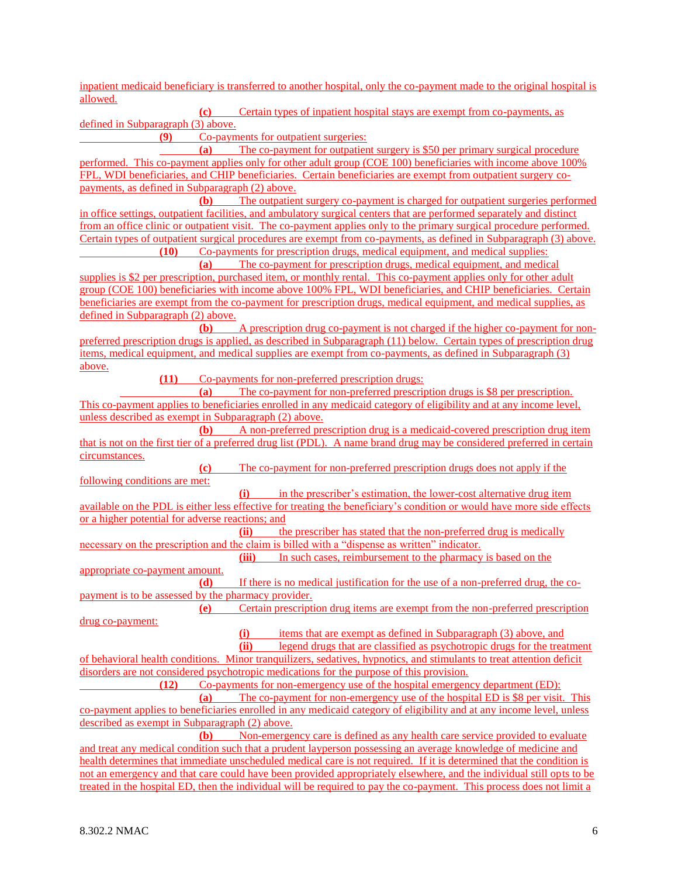inpatient medicaid beneficiary is transferred to another hospital, only the co-payment made to the original hospital is allowed.

**(c)** Certain types of inpatient hospital stays are exempt from co-payments, as defined in Subparagraph (3) above.

**(9)** Co-payments for outpatient surgeries:

**(a)** The co-payment for outpatient surgery is \$50 per primary surgical procedure performed. This co-payment applies only for other adult group (COE 100) beneficiaries with income above 100% FPL, WDI beneficiaries, and CHIP beneficiaries. Certain beneficiaries are exempt from outpatient surgery copayments, as defined in Subparagraph (2) above.

**(b)** The outpatient surgery co-payment is charged for outpatient surgeries performed in office settings, outpatient facilities, and ambulatory surgical centers that are performed separately and distinct from an office clinic or outpatient visit. The co-payment applies only to the primary surgical procedure performed. Certain types of outpatient surgical procedures are exempt from co-payments, as defined in Subparagraph (3) above.

**(10)** Co-payments for prescription drugs, medical equipment, and medical supplies:

**(a)** The co-payment for prescription drugs, medical equipment, and medical supplies is \$2 per prescription, purchased item, or monthly rental. This co-payment applies only for other adult group (COE 100) beneficiaries with income above 100% FPL, WDI beneficiaries, and CHIP beneficiaries. Certain beneficiaries are exempt from the co-payment for prescription drugs, medical equipment, and medical supplies, as defined in Subparagraph (2) above.

**(b)** A prescription drug co-payment is not charged if the higher co-payment for nonpreferred prescription drugs is applied, as described in Subparagraph (11) below. Certain types of prescription drug items, medical equipment, and medical supplies are exempt from co-payments, as defined in Subparagraph (3) above.

**(11)** Co-payments for non-preferred prescription drugs:

**(a)** The co-payment for non-preferred prescription drugs is \$8 per prescription. This co-payment applies to beneficiaries enrolled in any medicaid category of eligibility and at any income level, unless described as exempt in Subparagraph (2) above.

**(b)** A non-preferred prescription drug is a medicaid-covered prescription drug item that is not on the first tier of a preferred drug list (PDL). A name brand drug may be considered preferred in certain circumstances.

**(c)** The co-payment for non-preferred prescription drugs does not apply if the following conditions are met:

**(i)** in the prescriber's estimation, the lower-cost alternative drug item available on the PDL is either less effective for treating the beneficiary's condition or would have more side effects or a higher potential for adverse reactions; and

**(ii)** the prescriber has stated that the non-preferred drug is medically necessary on the prescription and the claim is billed with a "dispense as written" indicator.

**(iii)** In such cases, reimbursement to the pharmacy is based on the appropriate co-payment amount.

**(d)** If there is no medical justification for the use of a non-preferred drug, the copayment is to be assessed by the pharmacy provider.

**(e)** Certain prescription drug items are exempt from the non-preferred prescription drug co-payment:

**(i)** items that are exempt as defined in Subparagraph (3) above, and

**(ii)** legend drugs that are classified as psychotropic drugs for the treatment of behavioral health conditions. Minor tranquilizers, sedatives, hypnotics, and stimulants to treat attention deficit disorders are not considered psychotropic medications for the purpose of this provision.

**(12)** Co-payments for non-emergency use of the hospital emergency department (ED): **(a)** The co-payment for non-emergency use of the hospital ED is \$8 per visit. This co-payment applies to beneficiaries enrolled in any medicaid category of eligibility and at any income level, unless described as exempt in Subparagraph (2) above.

**(b)** Non-emergency care is defined as any health care service provided to evaluate and treat any medical condition such that a prudent layperson possessing an average knowledge of medicine and health determines that immediate unscheduled medical care is not required. If it is determined that the condition is not an emergency and that care could have been provided appropriately elsewhere, and the individual still opts to be treated in the hospital ED, then the individual will be required to pay the co-payment. This process does not limit a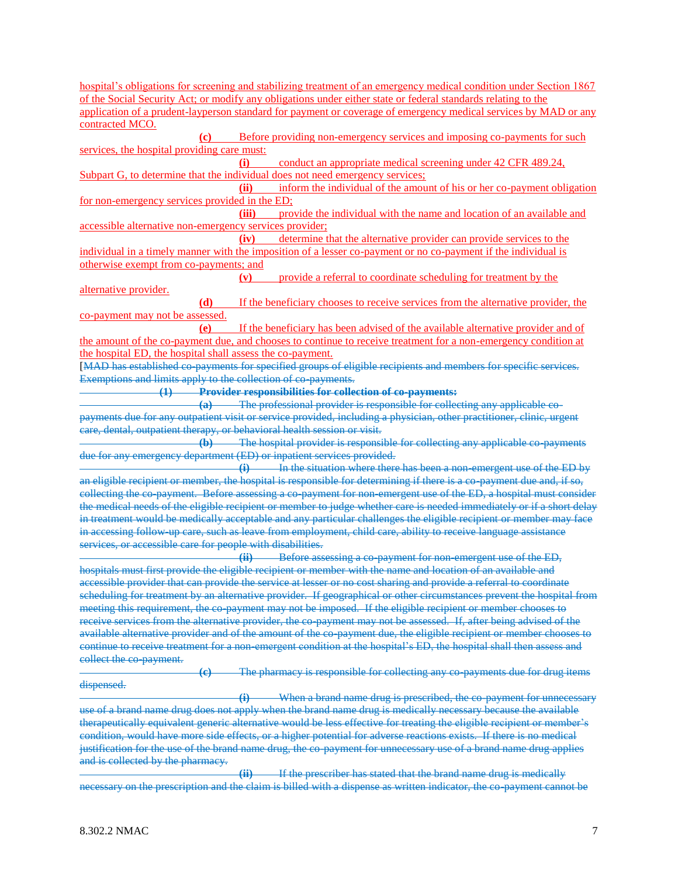hospital's obligations for screening and stabilizing treatment of an emergency medical condition under Section 1867 of the Social Security Act; or modify any obligations under either state or federal standards relating to the application of a prudent-layperson standard for payment or coverage of emergency medical services by MAD or any contracted MCO. **(c)** Before providing non-emergency services and imposing co-payments for such services, the hospital providing care must: **(i)** conduct an appropriate medical screening under 42 CFR 489.24, Subpart G, to determine that the individual does not need emergency services; **(ii)** inform the individual of the amount of his or her co-payment obligation for non-emergency services provided in the ED; **(iii)** provide the individual with the name and location of an available and accessible alternative non-emergency services provider; **(iv)** determine that the alternative provider can provide services to the individual in a timely manner with the imposition of a lesser co-payment or no co-payment if the individual is otherwise exempt from co-payments; and **(v)** provide a referral to coordinate scheduling for treatment by the alternative provider. **(d)** If the beneficiary chooses to receive services from the alternative provider, the co-payment may not be assessed. **(e)** If the beneficiary has been advised of the available alternative provider and of the amount of the co-payment due, and chooses to continue to receive treatment for a non-emergency condition at the hospital ED, the hospital shall assess the co-payment. [MAD has established co-payments for specified groups of eligible recipients and members for specific services. Exemptions and limits apply to the collection of co-payments. **(1) Provider responsibilities for collection of co-payments: (a)** The professional provider is responsible for collecting any applicable copayments due for any outpatient visit or service provided, including a physician, other practitioner, clinic, urgent care, dental, outpatient therapy, or behavioral health session or visit. **(b)** The hospital provider is responsible for collecting any applicable co-payments due for any emergency department (ED) or inpatient services provided. **(i)** In the situation where there has been a non-emergent use of the ED by an eligible recipient or member, the hospital is responsible for determining if there is a co-payment due and, if so, collecting the co-payment. Before assessing a co-payment for non-emergent use of the ED, a hospital must consider the medical needs of the eligible recipient or member to judge whether care is needed immediately or if a short delay in treatment would be medically acceptable and any particular challenges the eligible recipient or member may face in accessing follow-up care, such as leave from employment, child care, ability to receive language assistance services, or accessible care for people with disabilities. **(ii)** Before assessing a co-payment for non-emergent use of the ED, hospitals must first provide the eligible recipient or member with the name and location of an available and accessible provider that can provide the service at lesser or no cost sharing and provide a referral to coordinate scheduling for treatment by an alternative provider. If geographical or other circumstances prevent the hospital from meeting this requirement, the co-payment may not be imposed. If the eligible recipient or member chooses to receive services from the alternative provider, the co-payment may not be assessed. If, after being advised of the available alternative provider and of the amount of the co-payment due, the eligible recipient or member chooses to continue to receive treatment for a non-emergent condition at the hospital's ED, the hospital shall then assess and collect the co-payment. **(c)** The pharmacy is responsible for collecting any co-payments due for drug items dispensed. **(i)** When a brand name drug is prescribed, the co-payment for unnecessary use of a brand name drug does not apply when the brand name drug is medically necessary because the available therapeutically equivalent generic alternative would be less effective for treating the eligible recipient or member's condition, would have more side effects, or a higher potential for adverse reactions exists. If there is no medical justification for the use of the brand name drug, the co-payment for unnecessary use of a brand name drug applies and is collected by the pharmacy. **(ii)** If the prescriber has stated that the brand name drug is medically necessary on the prescription and the claim is billed with a dispense as written indicator, the co-payment cannot be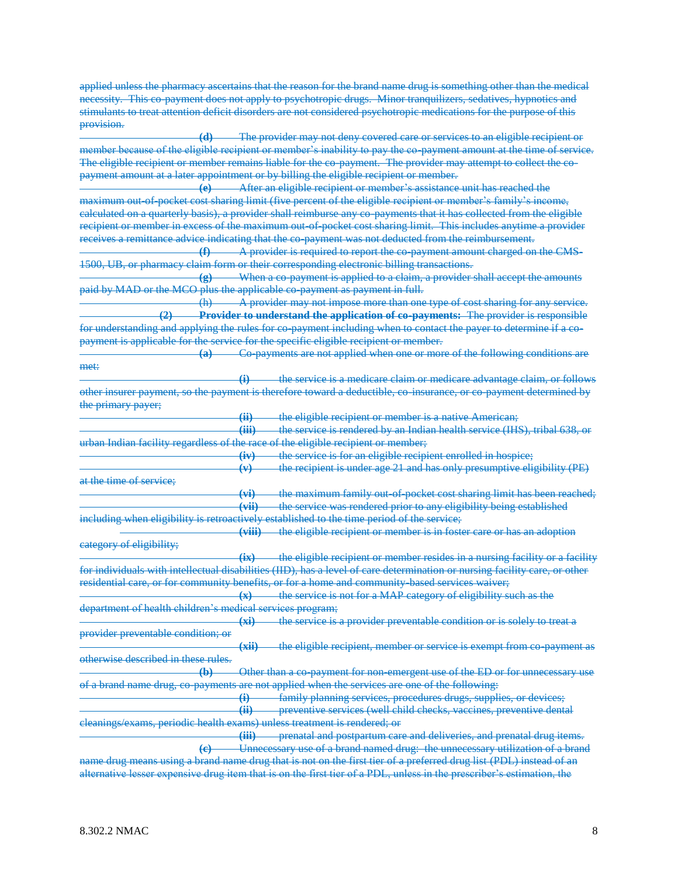applied unless the pharmacy ascertains that the reason for the brand name drug is something other than the medical necessity. This co-payment does not apply to psychotropic drugs. Minor tranquilizers, sedatives, hypnotics and stimulants to treat attention deficit disorders are not considered psychotropic medications for the purpose of this provision.

**(d)** The provider may not deny covered care or services to an eligible recipient or member because of the eligible recipient or member's inability to pay the co-payment amount at the time of service. The eligible recipient or member remains liable for the co-payment. The provider may attempt to collect the copayment amount at a later appointment or by billing the eligible recipient or member.

**(e)** After an eligible recipient or member's assistance unit has reached the maximum out-of-pocket cost sharing limit (five percent of the eligible recipient or member's family's income, calculated on a quarterly basis), a provider shall reimburse any co-payments that it has collected from the eligible recipient or member in excess of the maximum out-of-pocket cost sharing limit. This includes anytime a provider receives a remittance advice indicating that the co-payment was not deducted from the reimbursement.

**(f)** A provider is required to report the co-payment amount charged on the CMS-1500, UB, or pharmacy claim form or their corresponding electronic billing transactions.

**(g)** When a co-payment is applied to a claim, a provider shall accept the amounts paid by MAD or the MCO plus the applicable co-payment as payment in full.

(h) A provider may not impose more than one type of cost sharing for any service. **(2) Provider to understand the application of co-payments:** The provider is responsible for understanding and applying the rules for co-payment including when to contact the payer to determine if a copayment is applicable for the service for the specific eligible recipient or member.

**(a)** Co-payments are not applied when one or more of the following conditions are met:

**(i)** the service is a medicare claim or medicare advantage claim, or follows other insurer payment, so the payment is therefore toward a deductible, co-insurance, or co-payment determined by the primary payer;

**(ii)** the eligible recipient or member is a native American;

**(iii)** the service is rendered by an Indian health service (IHS), tribal 638, or urban Indian facility regardless of the race of the eligible recipient or member;

|                                                               | (11)         | the service is for an eligible recipient enrolled in hospice;                 |
|---------------------------------------------------------------|--------------|-------------------------------------------------------------------------------|
|                                                               | $\mathbf{u}$ |                                                                               |
|                                                               |              | the recipient is under age $21$ and has only presumptive elimibility ( $DF$ ) |
|                                                               |              | THE TUESDICAL IS GROUP USE 21 and has only presumptive englosing (1 L)        |
| at the time of cervice:<br><del>at the thne of service.</del> |              |                                                                               |

**(vi)** the maximum family out-of-pocket cost sharing limit has been reached; **(vii)** the service was rendered prior to any eligibility being established including when eligibility is retroactively established to the time period of the service;

**(viii)** the eligible recipient or member is in foster care or has an adoption category of eligibility;

**(ix)** the eligible recipient or member resides in a nursing facility or a facility for individuals with intellectual disabilities (IID), has a level of care determination or nursing facility care, or other residential care, or for community benefits, or for a home and community-based services waiver;

**(x)** the service is not for a MAP category of eligibility such as the department of health children's medical services program;

**(xi)** the service is a provider preventable condition or is solely to treat a provider preventable condition; or

**(xii)** the eligible recipient, member or service is exempt from co-payment as otherwise described in these rules.

**(b)** Other than a co-payment for non-emergent use of the ED or for unnecessary use of a brand name drug, co-payments are not applied when the services are one of the following:

**(i)** family planning services, procedures drugs, supplies, or devices;

**(ii)** preventive services (well child checks, vaccines, preventive dental cleanings/exams, periodic health exams) unless treatment is rendered; or

**(iii)** prenatal and postpartum care and deliveries, and prenatal drug items. **(c)** Unnecessary use of a brand named drug: the unnecessary utilization of a brand

name drug means using a brand name drug that is not on the first tier of a preferred drug list (PDL) instead of an alternative lesser expensive drug item that is on the first tier of a PDL, unless in the prescriber's estimation, the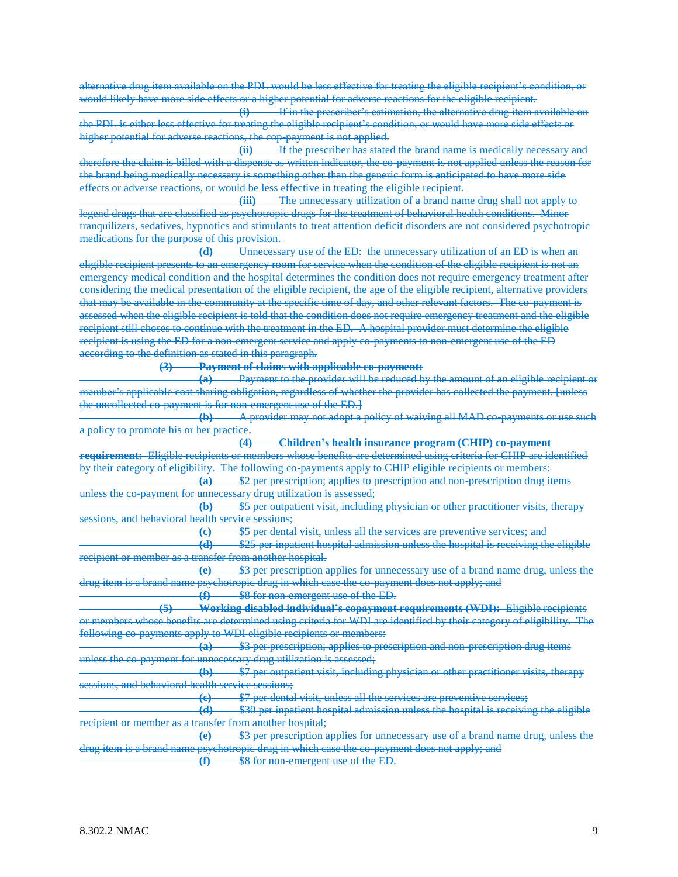alternative drug item available on the PDL would be less effective for treating the eligible recipient's condition, or would likely have more side effects or a higher potential for adverse reactions for the eligible recipient.

**(i)** If in the prescriber's estimation, the alternative drug item available on the PDL is either less effective for treating the eligible recipient's condition, or would have more side effects or higher potential for adverse reactions, the cop-payment is not applied.

**(ii)** If the prescriber has stated the brand name is medically necessary and therefore the claim is billed with a dispense as written indicator, the co-payment is not applied unless the reason for the brand being medically necessary is something other than the generic form is anticipated to have more side effects or adverse reactions, or would be less effective in treating the eligible recipient.

**(iii)** The unnecessary utilization of a brand name drug shall not apply to legend drugs that are classified as psychotropic drugs for the treatment of behavioral health conditions. Minor tranquilizers, sedatives, hypnotics and stimulants to treat attention deficit disorders are not considered psychotropic medications for the purpose of this provision.

**(d)** Unnecessary use of the ED: the unnecessary utilization of an ED is when an eligible recipient presents to an emergency room for service when the condition of the eligible recipient is not an emergency medical condition and the hospital determines the condition does not require emergency treatment after considering the medical presentation of the eligible recipient, the age of the eligible recipient, alternative providers that may be available in the community at the specific time of day, and other relevant factors. The co-payment is assessed when the eligible recipient is told that the condition does not require emergency treatment and the eligible recipient still choses to continue with the treatment in the ED. A hospital provider must determine the eligible recipient is using the ED for a non-emergent service and apply co-payments to non-emergent use of the ED according to the definition as stated in this paragraph.

**(3) Payment of claims with applicable co-payment:**

**(a)** Payment to the provider will be reduced by the amount of an eligible recipient or member's applicable cost sharing obligation, regardless of whether the provider has collected the payment. [unless the uncollected co-payment is for non-emergent use of the ED.

**(b)** A provider may not adopt a policy of waiving all MAD co-payments or use such a policy to promote his or her practice.

**(4) Children's health insurance program (CHIP) co-payment requirement:** Eligible recipients or members whose benefits are determined using criteria for CHIP are identified by their category of eligibility. The following co-payments apply to CHIP eligible recipients or members: **(a)** \$2 per prescription; applies to prescription and non-prescription drug items

unless the co-payment for unnecessary drug utilization is assessed;

**(b)** \$5 per outpatient visit, including physician or other practitioner visits, therapy sessions, and behavioral health service sessions;

**(c)** \$5 per dental visit, unless all the services are preventive services; and

**(d)** \$25 per inpatient hospital admission unless the hospital is receiving the eligible recipient or member as a transfer from another hospital.

**(e)** \$3 per prescription applies for unnecessary use of a brand name drug, unless the drug item is a brand name psychotropic drug in which case the co-payment does not apply; and **(f)** \$8 for non-emergent use of the ED.

**(5) Working disabled individual's copayment requirements (WDI):** Eligible recipients

or members whose benefits are determined using criteria for WDI are identified by their category of eligibility. The following co-payments apply to WDI eligible recipients or members:

**(a)** \$3 per prescription; applies to prescription and non-prescription drug items unless the co-payment for unnecessary drug utilization is assessed;

**(b)** \$7 per outpatient visit, including physician or other practitioner visits, therapy sessions, and behavioral health service sessions;

**(c)** \$7 per dental visit, unless all the services are preventive services;

**(d)** \$30 per inpatient hospital admission unless the hospital is receiving the eligible recipient or member as a transfer from another hospital;

**(e)** \$3 per prescription applies for unnecessary use of a brand name drug, unless the drug item is a brand name psychotropic drug in which case the co-payment does not apply; and

**(f)** \$8 for non-emergent use of the ED.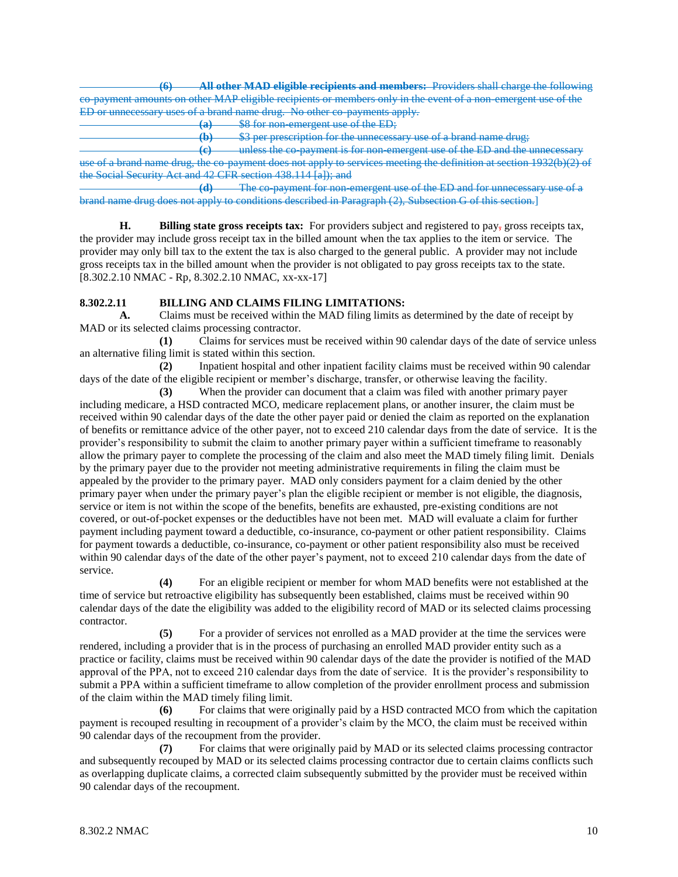**(6) All other MAD eligible recipients and members:** Providers shall charge the following co-payment amounts on other MAP eligible recipients or members only in the event of a non-emergent use of the ED or unnecessary uses of a brand name drug. No other co-payments apply.

**(a)** \$8 for non-emergent use of the ED;

**(b)** \$3 per prescription for the unnecessary use of a brand name drug;

**(c)** unless the co-payment is for non-emergent use of the ED and the unnecessary use of a brand name drug, the co-payment does not apply to services meeting the definition at section 1932(b)(2) of the Social Security Act and 42 CFR section 438.114 [a]); and

**(d)** The co-payment for non-emergent use of the ED and for unnecessary use of a brand name drug does not apply to conditions described in Paragraph (2), Subsection G of this section.]

**H. Billing state gross receipts tax:** For providers subject and registered to pay, gross receipts tax, the provider may include gross receipt tax in the billed amount when the tax applies to the item or service. The provider may only bill tax to the extent the tax is also charged to the general public. A provider may not include gross receipts tax in the billed amount when the provider is not obligated to pay gross receipts tax to the state. [8.302.2.10 NMAC - Rp, 8.302.2.10 NMAC, xx-xx-17]

# **8.302.2.11 BILLING AND CLAIMS FILING LIMITATIONS:**

**A.** Claims must be received within the MAD filing limits as determined by the date of receipt by MAD or its selected claims processing contractor.

**(1)** Claims for services must be received within 90 calendar days of the date of service unless an alternative filing limit is stated within this section.

**(2)** Inpatient hospital and other inpatient facility claims must be received within 90 calendar days of the date of the eligible recipient or member's discharge, transfer, or otherwise leaving the facility.

**(3)** When the provider can document that a claim was filed with another primary payer including medicare, a HSD contracted MCO, medicare replacement plans, or another insurer, the claim must be received within 90 calendar days of the date the other payer paid or denied the claim as reported on the explanation of benefits or remittance advice of the other payer, not to exceed 210 calendar days from the date of service. It is the provider's responsibility to submit the claim to another primary payer within a sufficient timeframe to reasonably allow the primary payer to complete the processing of the claim and also meet the MAD timely filing limit. Denials by the primary payer due to the provider not meeting administrative requirements in filing the claim must be appealed by the provider to the primary payer. MAD only considers payment for a claim denied by the other primary payer when under the primary payer's plan the eligible recipient or member is not eligible, the diagnosis, service or item is not within the scope of the benefits, benefits are exhausted, pre-existing conditions are not covered, or out-of-pocket expenses or the deductibles have not been met. MAD will evaluate a claim for further payment including payment toward a deductible, co-insurance, co-payment or other patient responsibility. Claims for payment towards a deductible, co-insurance, co-payment or other patient responsibility also must be received within 90 calendar days of the date of the other payer's payment, not to exceed 210 calendar days from the date of service.

**(4)** For an eligible recipient or member for whom MAD benefits were not established at the time of service but retroactive eligibility has subsequently been established, claims must be received within 90 calendar days of the date the eligibility was added to the eligibility record of MAD or its selected claims processing contractor.

**(5)** For a provider of services not enrolled as a MAD provider at the time the services were rendered, including a provider that is in the process of purchasing an enrolled MAD provider entity such as a practice or facility, claims must be received within 90 calendar days of the date the provider is notified of the MAD approval of the PPA, not to exceed 210 calendar days from the date of service. It is the provider's responsibility to submit a PPA within a sufficient timeframe to allow completion of the provider enrollment process and submission of the claim within the MAD timely filing limit.

**(6)** For claims that were originally paid by a HSD contracted MCO from which the capitation payment is recouped resulting in recoupment of a provider's claim by the MCO, the claim must be received within 90 calendar days of the recoupment from the provider.

**(7)** For claims that were originally paid by MAD or its selected claims processing contractor and subsequently recouped by MAD or its selected claims processing contractor due to certain claims conflicts such as overlapping duplicate claims, a corrected claim subsequently submitted by the provider must be received within 90 calendar days of the recoupment.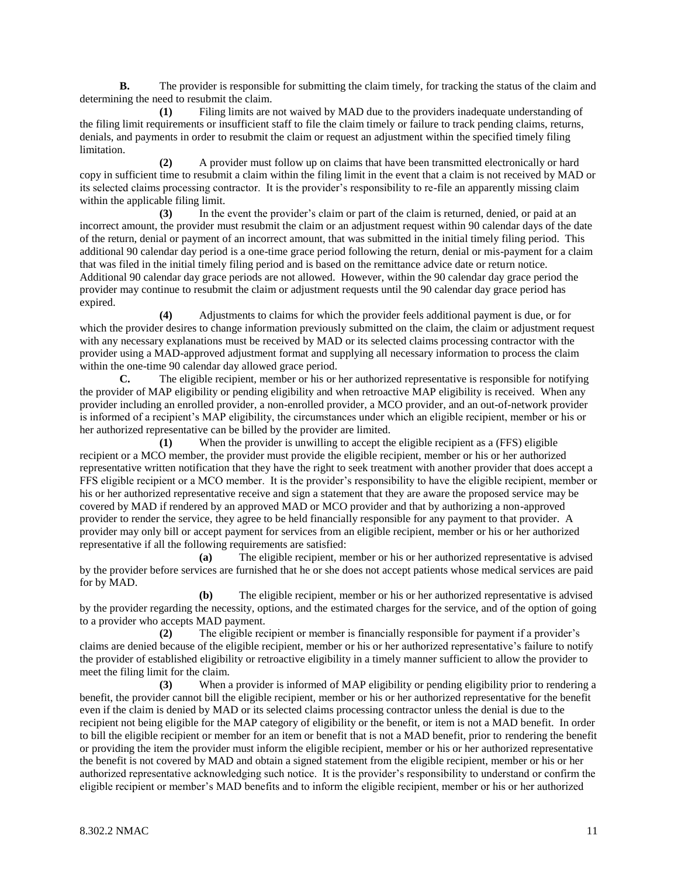**B.** The provider is responsible for submitting the claim timely, for tracking the status of the claim and determining the need to resubmit the claim.

**(1)** Filing limits are not waived by MAD due to the providers inadequate understanding of the filing limit requirements or insufficient staff to file the claim timely or failure to track pending claims, returns, denials, and payments in order to resubmit the claim or request an adjustment within the specified timely filing limitation.

**(2)** A provider must follow up on claims that have been transmitted electronically or hard copy in sufficient time to resubmit a claim within the filing limit in the event that a claim is not received by MAD or its selected claims processing contractor. It is the provider's responsibility to re-file an apparently missing claim within the applicable filing limit.

**(3)** In the event the provider's claim or part of the claim is returned, denied, or paid at an incorrect amount, the provider must resubmit the claim or an adjustment request within 90 calendar days of the date of the return, denial or payment of an incorrect amount, that was submitted in the initial timely filing period. This additional 90 calendar day period is a one-time grace period following the return, denial or mis-payment for a claim that was filed in the initial timely filing period and is based on the remittance advice date or return notice. Additional 90 calendar day grace periods are not allowed. However, within the 90 calendar day grace period the provider may continue to resubmit the claim or adjustment requests until the 90 calendar day grace period has expired.

**(4)** Adjustments to claims for which the provider feels additional payment is due, or for which the provider desires to change information previously submitted on the claim, the claim or adjustment request with any necessary explanations must be received by MAD or its selected claims processing contractor with the provider using a MAD-approved adjustment format and supplying all necessary information to process the claim within the one-time 90 calendar day allowed grace period.

**C.** The eligible recipient, member or his or her authorized representative is responsible for notifying the provider of MAP eligibility or pending eligibility and when retroactive MAP eligibility is received. When any provider including an enrolled provider, a non-enrolled provider, a MCO provider, and an out-of-network provider is informed of a recipient's MAP eligibility, the circumstances under which an eligible recipient, member or his or her authorized representative can be billed by the provider are limited.

**(1)** When the provider is unwilling to accept the eligible recipient as a (FFS) eligible recipient or a MCO member, the provider must provide the eligible recipient, member or his or her authorized representative written notification that they have the right to seek treatment with another provider that does accept a FFS eligible recipient or a MCO member. It is the provider's responsibility to have the eligible recipient, member or his or her authorized representative receive and sign a statement that they are aware the proposed service may be covered by MAD if rendered by an approved MAD or MCO provider and that by authorizing a non-approved provider to render the service, they agree to be held financially responsible for any payment to that provider. A provider may only bill or accept payment for services from an eligible recipient, member or his or her authorized representative if all the following requirements are satisfied:

**(a)** The eligible recipient, member or his or her authorized representative is advised by the provider before services are furnished that he or she does not accept patients whose medical services are paid for by MAD.

**(b)** The eligible recipient, member or his or her authorized representative is advised by the provider regarding the necessity, options, and the estimated charges for the service, and of the option of going to a provider who accepts MAD payment.

**(2)** The eligible recipient or member is financially responsible for payment if a provider's claims are denied because of the eligible recipient, member or his or her authorized representative's failure to notify the provider of established eligibility or retroactive eligibility in a timely manner sufficient to allow the provider to meet the filing limit for the claim.

**(3)** When a provider is informed of MAP eligibility or pending eligibility prior to rendering a benefit, the provider cannot bill the eligible recipient, member or his or her authorized representative for the benefit even if the claim is denied by MAD or its selected claims processing contractor unless the denial is due to the recipient not being eligible for the MAP category of eligibility or the benefit, or item is not a MAD benefit. In order to bill the eligible recipient or member for an item or benefit that is not a MAD benefit, prior to rendering the benefit or providing the item the provider must inform the eligible recipient, member or his or her authorized representative the benefit is not covered by MAD and obtain a signed statement from the eligible recipient, member or his or her authorized representative acknowledging such notice. It is the provider's responsibility to understand or confirm the eligible recipient or member's MAD benefits and to inform the eligible recipient, member or his or her authorized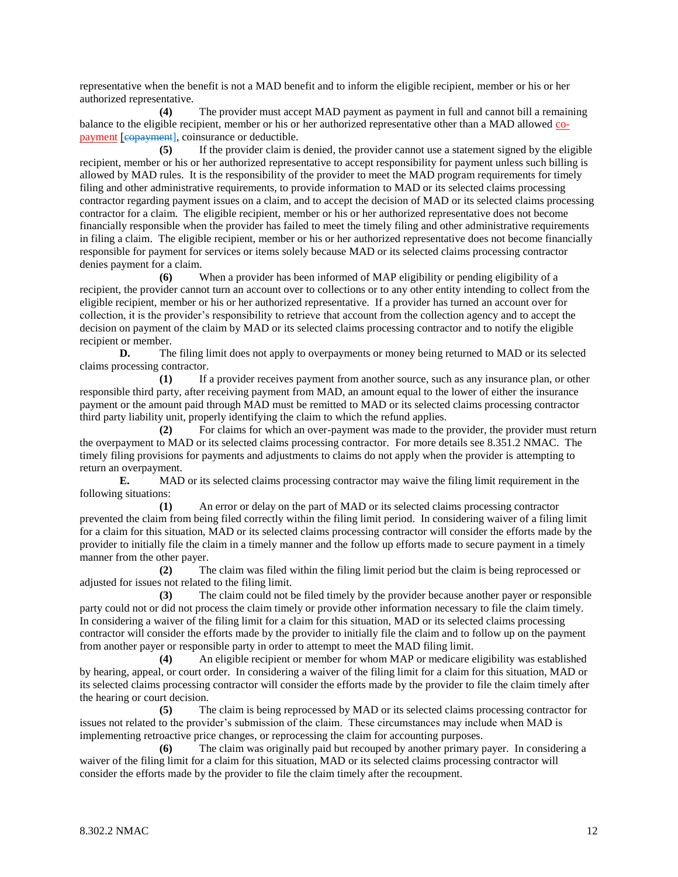representative when the benefit is not a MAD benefit and to inform the eligible recipient, member or his or her authorized representative.

**(4)** The provider must accept MAD payment as payment in full and cannot bill a remaining balance to the eligible recipient, member or his or her authorized representative other than a MAD allowed copayment [copayment], coinsurance or deductible.

**(5)** If the provider claim is denied, the provider cannot use a statement signed by the eligible recipient, member or his or her authorized representative to accept responsibility for payment unless such billing is allowed by MAD rules. It is the responsibility of the provider to meet the MAD program requirements for timely filing and other administrative requirements, to provide information to MAD or its selected claims processing contractor regarding payment issues on a claim, and to accept the decision of MAD or its selected claims processing contractor for a claim. The eligible recipient, member or his or her authorized representative does not become financially responsible when the provider has failed to meet the timely filing and other administrative requirements in filing a claim. The eligible recipient, member or his or her authorized representative does not become financially responsible for payment for services or items solely because MAD or its selected claims processing contractor denies payment for a claim.

**(6)** When a provider has been informed of MAP eligibility or pending eligibility of a recipient, the provider cannot turn an account over to collections or to any other entity intending to collect from the eligible recipient, member or his or her authorized representative. If a provider has turned an account over for collection, it is the provider's responsibility to retrieve that account from the collection agency and to accept the decision on payment of the claim by MAD or its selected claims processing contractor and to notify the eligible recipient or member.

**D.** The filing limit does not apply to overpayments or money being returned to MAD or its selected claims processing contractor.

**(1)** If a provider receives payment from another source, such as any insurance plan, or other responsible third party, after receiving payment from MAD, an amount equal to the lower of either the insurance payment or the amount paid through MAD must be remitted to MAD or its selected claims processing contractor third party liability unit, properly identifying the claim to which the refund applies.

**(2)** For claims for which an over-payment was made to the provider, the provider must return the overpayment to MAD or its selected claims processing contractor. For more details see 8.351.2 NMAC. The timely filing provisions for payments and adjustments to claims do not apply when the provider is attempting to return an overpayment.

**E.** MAD or its selected claims processing contractor may waive the filing limit requirement in the following situations:

**(1)** An error or delay on the part of MAD or its selected claims processing contractor prevented the claim from being filed correctly within the filing limit period. In considering waiver of a filing limit for a claim for this situation, MAD or its selected claims processing contractor will consider the efforts made by the provider to initially file the claim in a timely manner and the follow up efforts made to secure payment in a timely manner from the other payer.

**(2)** The claim was filed within the filing limit period but the claim is being reprocessed or adjusted for issues not related to the filing limit.

**(3)** The claim could not be filed timely by the provider because another payer or responsible party could not or did not process the claim timely or provide other information necessary to file the claim timely. In considering a waiver of the filing limit for a claim for this situation, MAD or its selected claims processing contractor will consider the efforts made by the provider to initially file the claim and to follow up on the payment from another payer or responsible party in order to attempt to meet the MAD filing limit.

**(4)** An eligible recipient or member for whom MAP or medicare eligibility was established by hearing, appeal, or court order. In considering a waiver of the filing limit for a claim for this situation, MAD or its selected claims processing contractor will consider the efforts made by the provider to file the claim timely after the hearing or court decision.

**(5)** The claim is being reprocessed by MAD or its selected claims processing contractor for issues not related to the provider's submission of the claim. These circumstances may include when MAD is implementing retroactive price changes, or reprocessing the claim for accounting purposes.

**(6)** The claim was originally paid but recouped by another primary payer. In considering a waiver of the filing limit for a claim for this situation, MAD or its selected claims processing contractor will consider the efforts made by the provider to file the claim timely after the recoupment.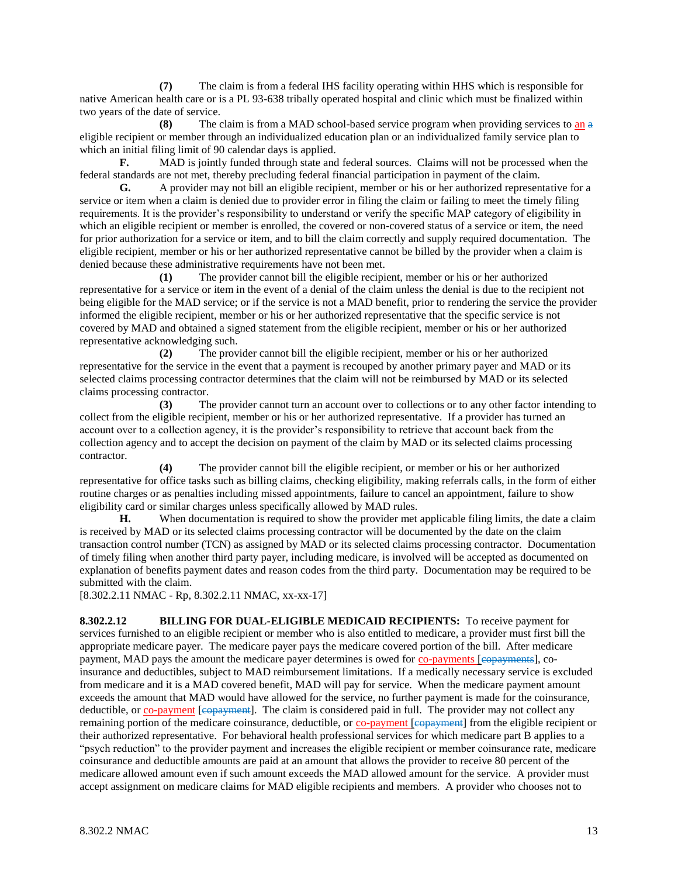**(7)** The claim is from a federal IHS facility operating within HHS which is responsible for native American health care or is a PL 93-638 tribally operated hospital and clinic which must be finalized within two years of the date of service.

**(8)** The claim is from a MAD school-based service program when providing services to an a eligible recipient or member through an individualized education plan or an individualized family service plan to which an initial filing limit of 90 calendar days is applied.

**F.** MAD is jointly funded through state and federal sources. Claims will not be processed when the federal standards are not met, thereby precluding federal financial participation in payment of the claim.

**G.** A provider may not bill an eligible recipient, member or his or her authorized representative for a service or item when a claim is denied due to provider error in filing the claim or failing to meet the timely filing requirements. It is the provider's responsibility to understand or verify the specific MAP category of eligibility in which an eligible recipient or member is enrolled, the covered or non-covered status of a service or item, the need for prior authorization for a service or item, and to bill the claim correctly and supply required documentation. The eligible recipient, member or his or her authorized representative cannot be billed by the provider when a claim is denied because these administrative requirements have not been met.

**(1)** The provider cannot bill the eligible recipient, member or his or her authorized representative for a service or item in the event of a denial of the claim unless the denial is due to the recipient not being eligible for the MAD service; or if the service is not a MAD benefit, prior to rendering the service the provider informed the eligible recipient, member or his or her authorized representative that the specific service is not covered by MAD and obtained a signed statement from the eligible recipient, member or his or her authorized representative acknowledging such.

**(2)** The provider cannot bill the eligible recipient, member or his or her authorized representative for the service in the event that a payment is recouped by another primary payer and MAD or its selected claims processing contractor determines that the claim will not be reimbursed by MAD or its selected claims processing contractor.

**(3)** The provider cannot turn an account over to collections or to any other factor intending to collect from the eligible recipient, member or his or her authorized representative. If a provider has turned an account over to a collection agency, it is the provider's responsibility to retrieve that account back from the collection agency and to accept the decision on payment of the claim by MAD or its selected claims processing contractor.

**(4)** The provider cannot bill the eligible recipient, or member or his or her authorized representative for office tasks such as billing claims, checking eligibility, making referrals calls, in the form of either routine charges or as penalties including missed appointments, failure to cancel an appointment, failure to show eligibility card or similar charges unless specifically allowed by MAD rules.

**H.** When documentation is required to show the provider met applicable filing limits, the date a claim is received by MAD or its selected claims processing contractor will be documented by the date on the claim transaction control number (TCN) as assigned by MAD or its selected claims processing contractor. Documentation of timely filing when another third party payer, including medicare, is involved will be accepted as documented on explanation of benefits payment dates and reason codes from the third party. Documentation may be required to be submitted with the claim.

[8.302.2.11 NMAC - Rp, 8.302.2.11 NMAC, xx-xx-17]

**8.302.2.12 BILLING FOR DUAL-ELIGIBLE MEDICAID RECIPIENTS:** To receive payment for services furnished to an eligible recipient or member who is also entitled to medicare, a provider must first bill the appropriate medicare payer. The medicare payer pays the medicare covered portion of the bill. After medicare payment, MAD pays the amount the medicare payer determines is owed for co-payments [ $\epsilon$ opayments], coinsurance and deductibles, subject to MAD reimbursement limitations. If a medically necessary service is excluded from medicare and it is a MAD covered benefit, MAD will pay for service. When the medicare payment amount exceeds the amount that MAD would have allowed for the service, no further payment is made for the coinsurance, deductible, or co-payment [e<del>opayment</del>]. The claim is considered paid in full. The provider may not collect any remaining portion of the medicare coinsurance, deductible, or co-payment [copayment] from the eligible recipient or their authorized representative. For behavioral health professional services for which medicare part B applies to a "psych reduction" to the provider payment and increases the eligible recipient or member coinsurance rate, medicare coinsurance and deductible amounts are paid at an amount that allows the provider to receive 80 percent of the medicare allowed amount even if such amount exceeds the MAD allowed amount for the service. A provider must accept assignment on medicare claims for MAD eligible recipients and members. A provider who chooses not to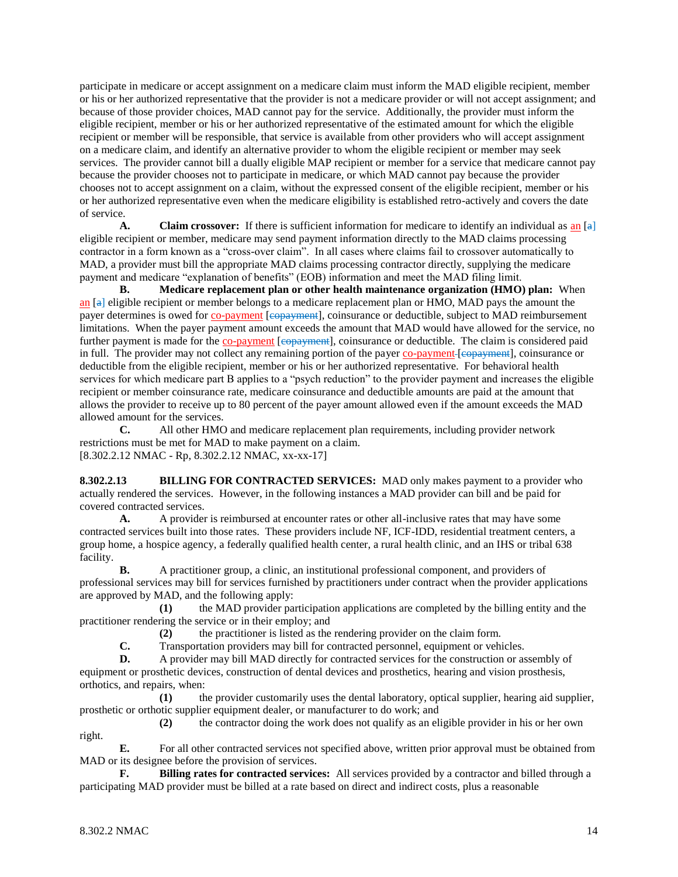participate in medicare or accept assignment on a medicare claim must inform the MAD eligible recipient, member or his or her authorized representative that the provider is not a medicare provider or will not accept assignment; and because of those provider choices, MAD cannot pay for the service. Additionally, the provider must inform the eligible recipient, member or his or her authorized representative of the estimated amount for which the eligible recipient or member will be responsible, that service is available from other providers who will accept assignment on a medicare claim, and identify an alternative provider to whom the eligible recipient or member may seek services. The provider cannot bill a dually eligible MAP recipient or member for a service that medicare cannot pay because the provider chooses not to participate in medicare, or which MAD cannot pay because the provider chooses not to accept assignment on a claim, without the expressed consent of the eligible recipient, member or his or her authorized representative even when the medicare eligibility is established retro-actively and covers the date of service.

**A. Claim crossover:** If there is sufficient information for medicare to identify an individual as an [a] eligible recipient or member, medicare may send payment information directly to the MAD claims processing contractor in a form known as a "cross-over claim". In all cases where claims fail to crossover automatically to MAD, a provider must bill the appropriate MAD claims processing contractor directly, supplying the medicare payment and medicare "explanation of benefits" (EOB) information and meet the MAD filing limit.

**B. Medicare replacement plan or other health maintenance organization (HMO) plan:** When an  $[a]$  eligible recipient or member belongs to a medicare replacement plan or HMO, MAD pays the amount the payer determines is owed for co-payment [copayment], coinsurance or deductible, subject to MAD reimbursement limitations. When the payer payment amount exceeds the amount that MAD would have allowed for the service, no further payment is made for the co-payment [copayment], coinsurance or deductible. The claim is considered paid in full. The provider may not collect any remaining portion of the payer co-payment-[eopayment], coinsurance or deductible from the eligible recipient, member or his or her authorized representative. For behavioral health services for which medicare part B applies to a "psych reduction" to the provider payment and increases the eligible recipient or member coinsurance rate, medicare coinsurance and deductible amounts are paid at the amount that allows the provider to receive up to 80 percent of the payer amount allowed even if the amount exceeds the MAD allowed amount for the services.

**C.** All other HMO and medicare replacement plan requirements, including provider network restrictions must be met for MAD to make payment on a claim. [8.302.2.12 NMAC - Rp, 8.302.2.12 NMAC, xx-xx-17]

**8.302.2.13 BILLING FOR CONTRACTED SERVICES:** MAD only makes payment to a provider who actually rendered the services. However, in the following instances a MAD provider can bill and be paid for covered contracted services.

**A.** A provider is reimbursed at encounter rates or other all-inclusive rates that may have some contracted services built into those rates. These providers include NF, ICF-IDD, residential treatment centers, a group home, a hospice agency, a federally qualified health center, a rural health clinic, and an IHS or tribal 638 facility.

**B.** A practitioner group, a clinic, an institutional professional component, and providers of professional services may bill for services furnished by practitioners under contract when the provider applications are approved by MAD, and the following apply:

**(1)** the MAD provider participation applications are completed by the billing entity and the practitioner rendering the service or in their employ; and

**(2)** the practitioner is listed as the rendering provider on the claim form.

**C.** Transportation providers may bill for contracted personnel, equipment or vehicles.

**D.** A provider may bill MAD directly for contracted services for the construction or assembly of equipment or prosthetic devices, construction of dental devices and prosthetics, hearing and vision prosthesis, orthotics, and repairs, when:

**(1)** the provider customarily uses the dental laboratory, optical supplier, hearing aid supplier, prosthetic or orthotic supplier equipment dealer, or manufacturer to do work; and

**(2)** the contractor doing the work does not qualify as an eligible provider in his or her own

**E.** For all other contracted services not specified above, written prior approval must be obtained from MAD or its designee before the provision of services.

**F. Billing rates for contracted services:** All services provided by a contractor and billed through a participating MAD provider must be billed at a rate based on direct and indirect costs, plus a reasonable

right.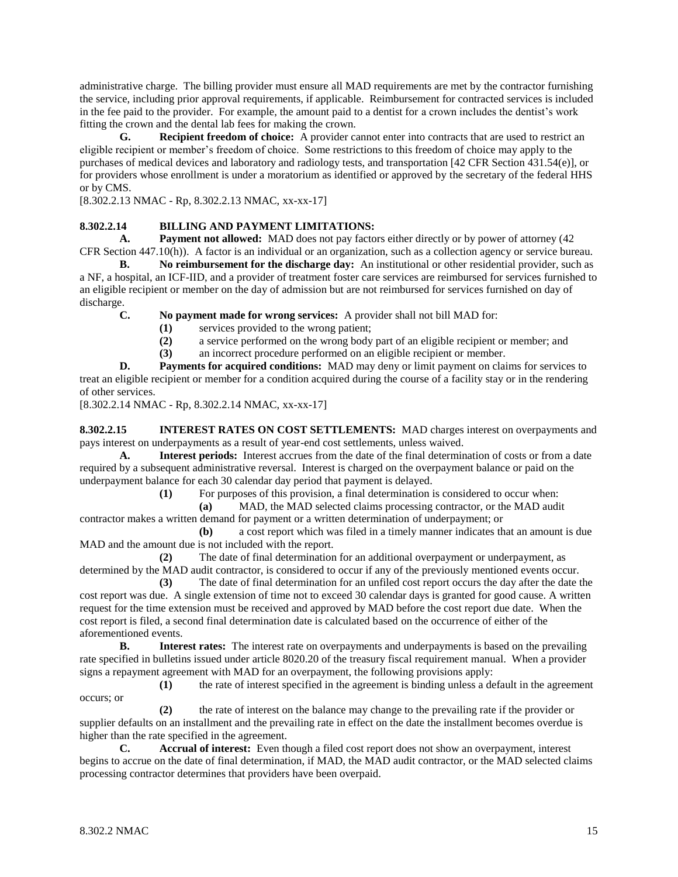administrative charge. The billing provider must ensure all MAD requirements are met by the contractor furnishing the service, including prior approval requirements, if applicable. Reimbursement for contracted services is included in the fee paid to the provider. For example, the amount paid to a dentist for a crown includes the dentist's work fitting the crown and the dental lab fees for making the crown.

**G. Recipient freedom of choice:** A provider cannot enter into contracts that are used to restrict an eligible recipient or member's freedom of choice. Some restrictions to this freedom of choice may apply to the purchases of medical devices and laboratory and radiology tests, and transportation [42 CFR Section 431.54(e)], or for providers whose enrollment is under a moratorium as identified or approved by the secretary of the federal HHS or by CMS.

[8.302.2.13 NMAC - Rp, 8.302.2.13 NMAC, xx-xx-17]

# **8.302.2.14 BILLING AND PAYMENT LIMITATIONS:**

**A. Payment not allowed:** MAD does not pay factors either directly or by power of attorney (42 CFR Section 447.10(h)). A factor is an individual or an organization, such as a collection agency or service bureau.

**B. No reimbursement for the discharge day:** An institutional or other residential provider, such as a NF, a hospital, an ICF-IID, and a provider of treatment foster care services are reimbursed for services furnished to an eligible recipient or member on the day of admission but are not reimbursed for services furnished on day of discharge.

**C. No payment made for wrong services:** A provider shall not bill MAD for:

- **(1)** services provided to the wrong patient;
- **(2)** a service performed on the wrong body part of an eligible recipient or member; and
- **(3)** an incorrect procedure performed on an eligible recipient or member.

**D. Payments for acquired conditions:** MAD may deny or limit payment on claims for services to treat an eligible recipient or member for a condition acquired during the course of a facility stay or in the rendering of other services.

[8.302.2.14 NMAC - Rp, 8.302.2.14 NMAC, xx-xx-17]

**8.302.2.15 INTEREST RATES ON COST SETTLEMENTS:** MAD charges interest on overpayments and pays interest on underpayments as a result of year-end cost settlements, unless waived.

**A. Interest periods:** Interest accrues from the date of the final determination of costs or from a date required by a subsequent administrative reversal. Interest is charged on the overpayment balance or paid on the underpayment balance for each 30 calendar day period that payment is delayed.

**(1)** For purposes of this provision, a final determination is considered to occur when:

**(a)** MAD, the MAD selected claims processing contractor, or the MAD audit contractor makes a written demand for payment or a written determination of underpayment; or

**(b)** a cost report which was filed in a timely manner indicates that an amount is due MAD and the amount due is not included with the report.

**(2)** The date of final determination for an additional overpayment or underpayment, as determined by the MAD audit contractor, is considered to occur if any of the previously mentioned events occur.

**(3)** The date of final determination for an unfiled cost report occurs the day after the date the cost report was due. A single extension of time not to exceed 30 calendar days is granted for good cause. A written request for the time extension must be received and approved by MAD before the cost report due date. When the cost report is filed, a second final determination date is calculated based on the occurrence of either of the aforementioned events.

**B. Interest rates:** The interest rate on overpayments and underpayments is based on the prevailing rate specified in bulletins issued under article 8020.20 of the treasury fiscal requirement manual. When a provider signs a repayment agreement with MAD for an overpayment, the following provisions apply:

**(1)** the rate of interest specified in the agreement is binding unless a default in the agreement occurs; or

**(2)** the rate of interest on the balance may change to the prevailing rate if the provider or supplier defaults on an installment and the prevailing rate in effect on the date the installment becomes overdue is higher than the rate specified in the agreement.

**C. Accrual of interest:** Even though a filed cost report does not show an overpayment, interest begins to accrue on the date of final determination, if MAD, the MAD audit contractor, or the MAD selected claims processing contractor determines that providers have been overpaid.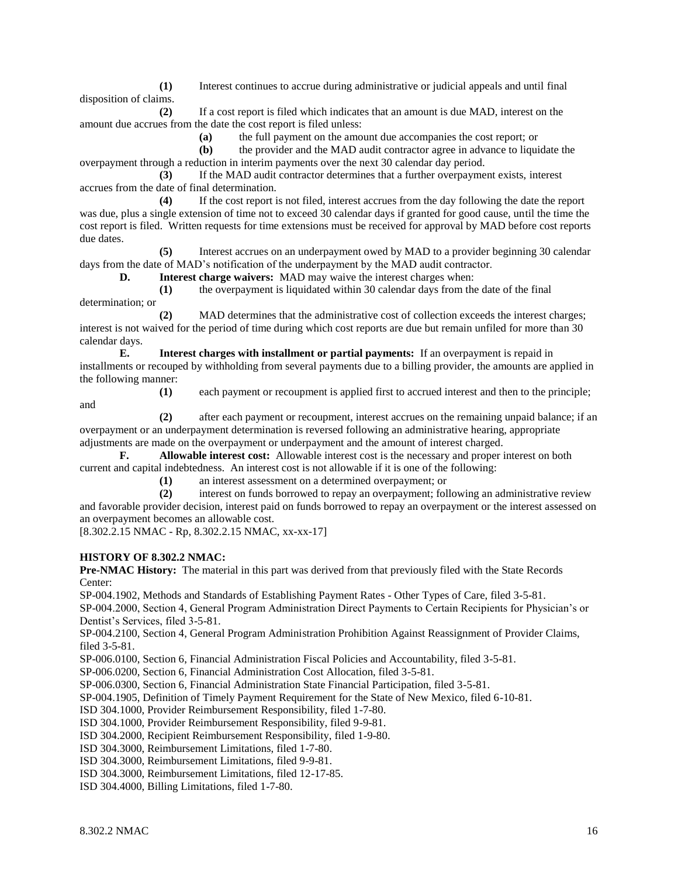**(1)** Interest continues to accrue during administrative or judicial appeals and until final disposition of claims.

**(2)** If a cost report is filed which indicates that an amount is due MAD, interest on the amount due accrues from the date the cost report is filed unless:

**(a)** the full payment on the amount due accompanies the cost report; or

**(b)** the provider and the MAD audit contractor agree in advance to liquidate the overpayment through a reduction in interim payments over the next 30 calendar day period.

**(3)** If the MAD audit contractor determines that a further overpayment exists, interest accrues from the date of final determination.

**(4)** If the cost report is not filed, interest accrues from the day following the date the report was due, plus a single extension of time not to exceed 30 calendar days if granted for good cause, until the time the cost report is filed. Written requests for time extensions must be received for approval by MAD before cost reports due dates.

**(5)** Interest accrues on an underpayment owed by MAD to a provider beginning 30 calendar days from the date of MAD's notification of the underpayment by the MAD audit contractor.

**D. Interest charge waivers:** MAD may waive the interest charges when:

**(1)** the overpayment is liquidated within 30 calendar days from the date of the final

determination; or

and

**(2)** MAD determines that the administrative cost of collection exceeds the interest charges; interest is not waived for the period of time during which cost reports are due but remain unfiled for more than 30 calendar days.

**E. Interest charges with installment or partial payments:** If an overpayment is repaid in installments or recouped by withholding from several payments due to a billing provider, the amounts are applied in the following manner:

**(1)** each payment or recoupment is applied first to accrued interest and then to the principle;

**(2)** after each payment or recoupment, interest accrues on the remaining unpaid balance; if an overpayment or an underpayment determination is reversed following an administrative hearing, appropriate adjustments are made on the overpayment or underpayment and the amount of interest charged.

**F. Allowable interest cost:** Allowable interest cost is the necessary and proper interest on both current and capital indebtedness. An interest cost is not allowable if it is one of the following:

**(1)** an interest assessment on a determined overpayment; or

**(2)** interest on funds borrowed to repay an overpayment; following an administrative review and favorable provider decision, interest paid on funds borrowed to repay an overpayment or the interest assessed on an overpayment becomes an allowable cost.

[8.302.2.15 NMAC - Rp, 8.302.2.15 NMAC, xx-xx-17]

### **HISTORY OF 8.302.2 NMAC:**

**Pre-NMAC History:** The material in this part was derived from that previously filed with the State Records Center:

SP-004.1902, Methods and Standards of Establishing Payment Rates - Other Types of Care, filed 3-5-81.

SP-004.2000, Section 4, General Program Administration Direct Payments to Certain Recipients for Physician's or Dentist's Services, filed 3-5-81.

SP-004.2100, Section 4, General Program Administration Prohibition Against Reassignment of Provider Claims, filed 3-5-81.

SP-006.0100, Section 6, Financial Administration Fiscal Policies and Accountability, filed 3-5-81.

SP-006.0200, Section 6, Financial Administration Cost Allocation, filed 3-5-81.

SP-006.0300, Section 6, Financial Administration State Financial Participation, filed 3-5-81.

SP-004.1905, Definition of Timely Payment Requirement for the State of New Mexico, filed 6-10-81.

ISD 304.1000, Provider Reimbursement Responsibility, filed 1-7-80.

ISD 304.1000, Provider Reimbursement Responsibility, filed 9-9-81.

ISD 304.2000, Recipient Reimbursement Responsibility, filed 1-9-80.

ISD 304.3000, Reimbursement Limitations, filed 1-7-80.

ISD 304.3000, Reimbursement Limitations, filed 9-9-81.

ISD 304.3000, Reimbursement Limitations, filed 12-17-85.

ISD 304.4000, Billing Limitations, filed 1-7-80.